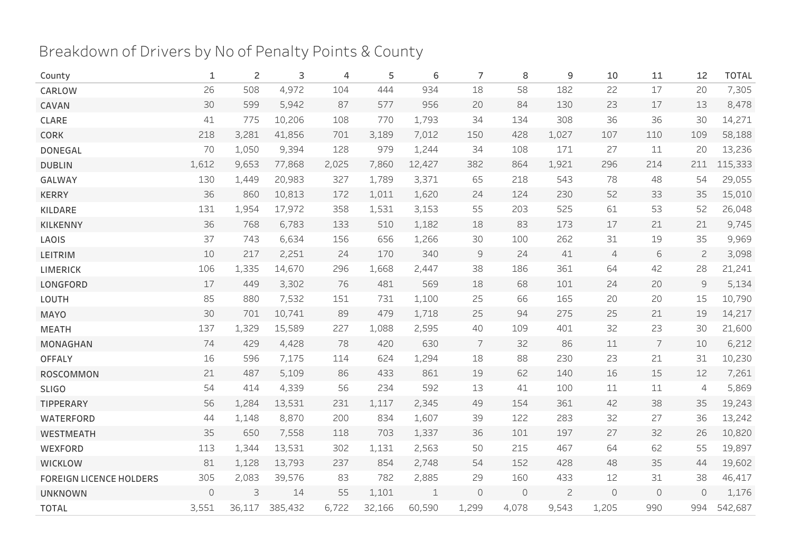## Breakdown of Drivers by No of Penalty Points & County

| County                         | 1                   | 2      | 3       | 4     | 5      | 6           | 7                                                                                                                                                                                                                                                                                                                                                                                                                                                        | 8           | 9              | 10             | 11         | 12             | <b>TOTAL</b> |
|--------------------------------|---------------------|--------|---------|-------|--------|-------------|----------------------------------------------------------------------------------------------------------------------------------------------------------------------------------------------------------------------------------------------------------------------------------------------------------------------------------------------------------------------------------------------------------------------------------------------------------|-------------|----------------|----------------|------------|----------------|--------------|
| CARLOW                         | 26                  | 508    | 4,972   | 104   | 444    | 934         | 18                                                                                                                                                                                                                                                                                                                                                                                                                                                       | 58          | 182            | 22             | 17         | 20             | 7,305        |
| CAVAN                          | 30                  | 599    | 5,942   | 87    | 577    | 956         | 20                                                                                                                                                                                                                                                                                                                                                                                                                                                       | 84          | 130            | 23             | 17         | 13             | 8,478        |
| CLARE                          | 41                  | 775    | 10,206  | 108   | 770    | 1,793       | 34                                                                                                                                                                                                                                                                                                                                                                                                                                                       | 134         | 308            | 36             | 36         | 30             | 14,271       |
| <b>CORK</b>                    | 218                 | 3,281  | 41,856  | 701   | 3,189  | 7,012       | 150                                                                                                                                                                                                                                                                                                                                                                                                                                                      | 428         | 1,027          | 107            | 110        | 109            | 58,188       |
| <b>DONEGAL</b>                 | 70                  | 1,050  | 9,394   | 128   | 979    | 1,244       | 34                                                                                                                                                                                                                                                                                                                                                                                                                                                       | 108         | 171            | 27             | 11         | 20             | 13,236       |
| <b>DUBLIN</b>                  | 1,612               | 9,653  | 77,868  | 2,025 | 7,860  | 12,427      | 382                                                                                                                                                                                                                                                                                                                                                                                                                                                      | 864         | 1,921          | 296            | 214        | 211            | 115,333      |
| GALWAY                         | 130                 | 1,449  | 20,983  | 327   | 1,789  | 3,371       | 65                                                                                                                                                                                                                                                                                                                                                                                                                                                       | 218         | 543            | 78             | 48         | 54             | 29,055       |
| <b>KERRY</b>                   | 36                  | 860    | 10,813  | 172   | 1,011  | 1,620       | 24                                                                                                                                                                                                                                                                                                                                                                                                                                                       | 124         | 230            | 52             | 33         | 35             | 15,010       |
| KILDARE                        | 131                 | 1,954  | 17,972  | 358   | 1,531  | 3,153       | 55                                                                                                                                                                                                                                                                                                                                                                                                                                                       | 203         | 525            | 61             | 53         | 52             | 26,048       |
| <b>KILKENNY</b>                | 36                  | 768    | 6,783   | 133   | 510    | 1,182       | 18                                                                                                                                                                                                                                                                                                                                                                                                                                                       | 83          | 173            | 17             | 21         | 21             | 9,745        |
| LAOIS                          | 37                  | 743    | 6,634   | 156   | 656    | 1,266       | 30                                                                                                                                                                                                                                                                                                                                                                                                                                                       | 100         | 262            | 31             | 19         | 35             | 9,969        |
| LEITRIM                        | 10                  | 217    | 2,251   | 24    | 170    | 340         | $\mathsf{S}% _{T}=\mathsf{S}_{T}\!\left( a,b\right) ,\ \mathsf{S}_{T}=\mathsf{S}_{T}\!\left( a,b\right) ,\ \mathsf{S}_{T}=\mathsf{S}_{T}\!\left( a,b\right) ,\ \mathsf{S}_{T}=\mathsf{S}_{T}\!\left( a,b\right) ,\ \mathsf{S}_{T}=\mathsf{S}_{T}\!\left( a,b\right) ,\ \mathsf{S}_{T}=\mathsf{S}_{T}\!\left( a,b\right) ,\ \mathsf{S}_{T}=\mathsf{S}_{T}\!\left( a,b\right) ,\ \mathsf{S}_{T}=\mathsf{S}_{T}\!\left( a,b\right) ,\ \mathsf{S}_{T}=\math$ | 24          | 41             | $\overline{4}$ | $\sqrt{6}$ | $\mathbf{2}$   | 3,098        |
| <b>LIMERICK</b>                | 106                 | 1,335  | 14,670  | 296   | 1,668  | 2,447       | 38                                                                                                                                                                                                                                                                                                                                                                                                                                                       | 186         | 361            | 64             | 42         | 28             | 21,241       |
| LONGFORD                       | $17$                | 449    | 3,302   | 76    | 481    | 569         | 18                                                                                                                                                                                                                                                                                                                                                                                                                                                       | 68          | 101            | 24             | 20         | $\mathsf{S}$   | 5,134        |
| LOUTH                          | 85                  | 880    | 7,532   | 151   | 731    | 1,100       | 25                                                                                                                                                                                                                                                                                                                                                                                                                                                       | 66          | 165            | 20             | 20         | 15             | 10,790       |
| <b>MAYO</b>                    | 30                  | 701    | 10,741  | 89    | 479    | 1,718       | 25                                                                                                                                                                                                                                                                                                                                                                                                                                                       | 94          | 275            | 25             | 21         | 19             | 14,217       |
| <b>MEATH</b>                   | 137                 | 1,329  | 15,589  | 227   | 1,088  | 2,595       | 40                                                                                                                                                                                                                                                                                                                                                                                                                                                       | 109         | 401            | 32             | 23         | 30             | 21,600       |
| MONAGHAN                       | 74                  | 429    | 4,428   | 78    | 420    | 630         | 7                                                                                                                                                                                                                                                                                                                                                                                                                                                        | 32          | 86             | 11             | 7          | 10             | 6,212        |
| <b>OFFALY</b>                  | 16                  | 596    | 7,175   | 114   | 624    | 1,294       | 18                                                                                                                                                                                                                                                                                                                                                                                                                                                       | 88          | 230            | 23             | 21         | 31             | 10,230       |
| ROSCOMMON                      | 21                  | 487    | 5,109   | 86    | 433    | 861         | 19                                                                                                                                                                                                                                                                                                                                                                                                                                                       | 62          | 140            | 16             | 15         | 12             | 7,261        |
| <b>SLIGO</b>                   | 54                  | 414    | 4,339   | 56    | 234    | 592         | 13                                                                                                                                                                                                                                                                                                                                                                                                                                                       | 41          | 100            | 11             | 11         | $\overline{4}$ | 5,869        |
| TIPPERARY                      | 56                  | 1,284  | 13,531  | 231   | 1,117  | 2,345       | 49                                                                                                                                                                                                                                                                                                                                                                                                                                                       | 154         | 361            | 42             | 38         | 35             | 19,243       |
| <b>WATERFORD</b>               | 44                  | 1,148  | 8,870   | 200   | 834    | 1,607       | 39                                                                                                                                                                                                                                                                                                                                                                                                                                                       | 122         | 283            | 32             | 27         | 36             | 13,242       |
| <b>WESTMEATH</b>               | 35                  | 650    | 7,558   | 118   | 703    | 1,337       | 36                                                                                                                                                                                                                                                                                                                                                                                                                                                       | 101         | 197            | 27             | 32         | 26             | 10,820       |
| WEXFORD                        | 113                 | 1,344  | 13,531  | 302   | 1,131  | 2,563       | 50                                                                                                                                                                                                                                                                                                                                                                                                                                                       | 215         | 467            | 64             | 62         | 55             | 19,897       |
| <b>WICKLOW</b>                 | 81                  | 1,128  | 13,793  | 237   | 854    | 2,748       | 54                                                                                                                                                                                                                                                                                                                                                                                                                                                       | 152         | 428            | 48             | 35         | 44             | 19,602       |
| <b>FOREIGN LICENCE HOLDERS</b> | 305                 | 2,083  | 39,576  | 83    | 782    | 2,885       | 29                                                                                                                                                                                                                                                                                                                                                                                                                                                       | 160         | 433            | 12             | 31         | 38             | 46,417       |
| <b>UNKNOWN</b>                 | $\mathsf{O}\xspace$ | 3      | 14      | 55    | 1,101  | $\mathbf 1$ | $\circ$                                                                                                                                                                                                                                                                                                                                                                                                                                                  | $\mathbb O$ | $\overline{c}$ | $\circ$        | $\circ$    | $\circ$        | 1,176        |
| <b>TOTAL</b>                   | 3,551               | 36,117 | 385,432 | 6,722 | 32,166 | 60,590      | 1,299                                                                                                                                                                                                                                                                                                                                                                                                                                                    | 4,078       | 9,543          | 1,205          | 990        | 994            | 542,687      |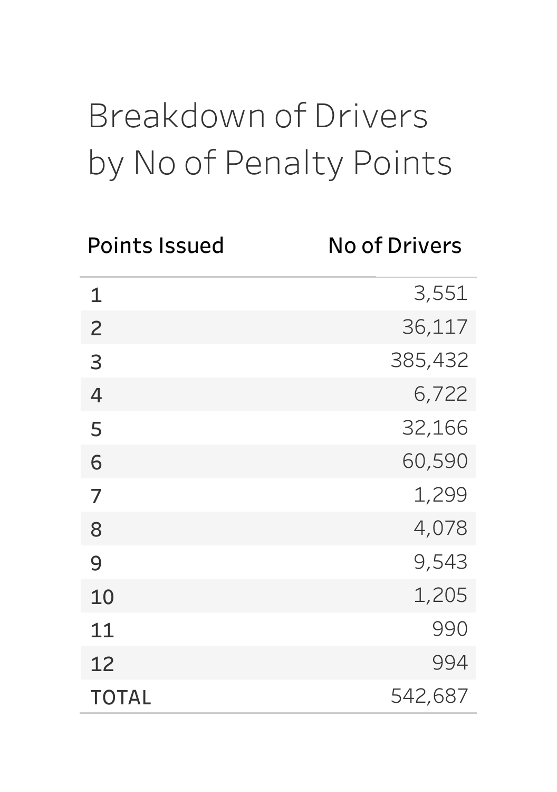## BreakdownofDrivers by No of Penalty Points

| <b>Points Issued</b> | <b>No of Drivers</b> |
|----------------------|----------------------|
| $\mathbf{1}$         | 3,551                |
| $\overline{c}$       | 36,117               |
| 3                    | 385,432              |
| 4                    | 6,722                |
| 5                    | 32,166               |
| 6                    | 60,590               |
| 7                    | 1,299                |
| 8                    | 4,078                |
| 9                    | 9,543                |
| 10                   | 1,205                |
| 11                   | 990                  |
| 12                   | 994                  |
| <b>TOTAL</b>         | 542,687              |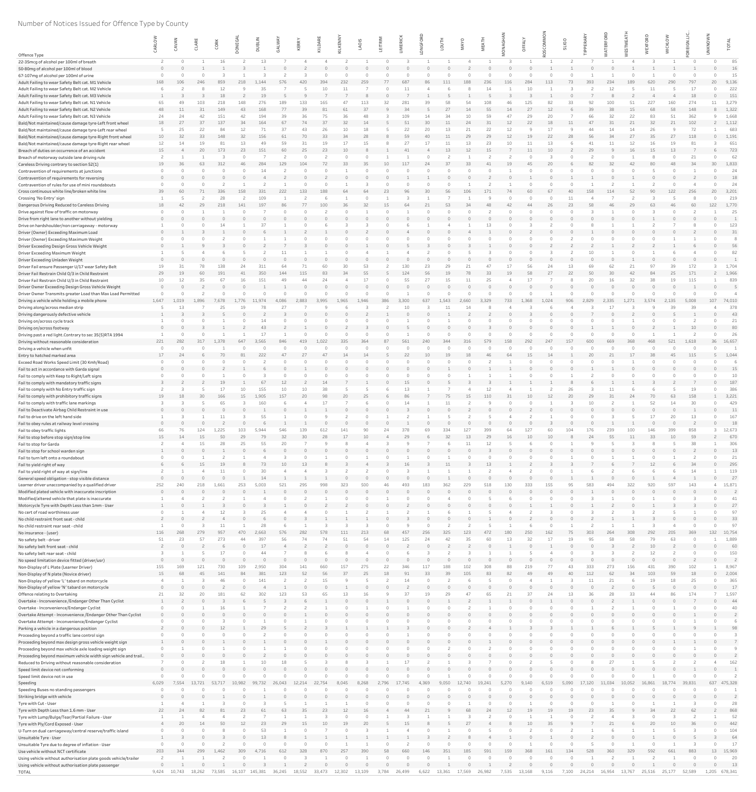## Number of Notices Issued for Offence Type by County

|                                                                                                                       |          | CAVAN               | CLAR      | CORK        | ONEG.           | <b>DUBLI</b>   | ALW       | KERRY     | KILDAR | <b>LKENN</b> | LAOIS     | EITRI |             | $\circ$   | LOU'        | $\lambda$ |        |                 | δ                    | SLIGO    | Щ        |           | ⋖<br>ய    | $\circ$   | <b>WICKLO</b>        | $E_{0}$     | KNO <sup>®</sup> | TOT              |
|-----------------------------------------------------------------------------------------------------------------------|----------|---------------------|-----------|-------------|-----------------|----------------|-----------|-----------|--------|--------------|-----------|-------|-------------|-----------|-------------|-----------|--------|-----------------|----------------------|----------|----------|-----------|-----------|-----------|----------------------|-------------|------------------|------------------|
| Offence Type                                                                                                          |          |                     |           |             |                 |                |           |           |        |              |           |       |             |           |             |           |        |                 |                      |          |          |           |           |           |                      |             |                  |                  |
| 22-35mcg of alcohol per 100ml of breath                                                                               |          |                     |           | 16          |                 | 13             |           |           |        |              |           |       |             |           |             |           |        |                 |                      |          |          |           |           |           |                      |             |                  | 85               |
| 50-80mg of alcohol per 100ml of blood                                                                                 |          |                     |           |             |                 |                |           |           |        |              |           |       |             |           |             |           |        |                 |                      |          |          |           |           |           |                      |             |                  | 16               |
| 67-107mg of alcohol per 100ml of urine<br>Adult Failing to wear Safety Belt cat. M1 Vehicle                           | 168      | 106                 | 246       | 859         | 218             | 1.144          | 576       | 420       | 394    | 232          | 259       | 77    | 687         | 86        | 111         | 188       | 236    | 116             | 284<br>113           | 73       | 393      | 234       | 189       | 620       | 290                  | 797         | 20               | 15<br>9,136      |
| Adult Failing to wear Safety Belt cat. M2 Vehicle                                                                     |          |                     |           |             |                 | 35             |           |           |        |              |           |       |             |           |             |           |        |                 |                      |          |          | 12        |           |           |                      |             |                  | 222              |
| Adult Failing to wear Safety Belt cat. M3 Vehicle                                                                     |          |                     |           | 18          |                 | 19             |           |           |        |              |           |       |             |           |             |           |        |                 |                      |          |          |           |           |           |                      | 18          |                  | 151              |
| Adult Failing to wear Safety Belt cat. N1 Vehicle<br>Adult Failing to wear Safety Belt cat. N2 Vehicle                | 65<br>48 | 49<br>11            | 103<br>31 | 218<br>149  | 148<br>43       | 276<br>168     | 189<br>77 | 133<br>39 | 81     | 61           | 113<br>37 | 32    | 281<br>34   | 39        | 58<br>27    | 54<br>14  | - 55   | 14              | 125<br>27            | 12       | 92<br>39 | 100<br>38 | 51<br>15  | 227<br>68 | 160<br>58            | 274<br>148  | 11               | 3,279<br>1,322   |
| Adult Failing to wear Safety Belt cat. N3 Vehicle                                                                     | 24       | 24                  | 42        | 151         | 42              | 194            | 39        |           |        |              |           |       | 109         |           | 34          |           |        |                 | 29<br>20             |          | 66       | 32        | 22        | 83        |                      | 362         |                  | 1,668            |
| Bald/Not maintained/cause damage tyre-Left front wheel                                                                | 18       | 27                  | 37        | 137         | 34              | 164            | 67        |           |        | 32           | 14        |       | 51          | 30        | 11          | 24        | 31     | 12              | 22                   | 18<br>11 | 47       | 31        | 21        | 32        | 21                   | 102         |                  | 1,112            |
| Bald/Not maintained/cause damage tyre-Left rear wheel                                                                 |          | 25                  | 22        | 84          | 12              | 71             | 37        | 43        |        | 10           | 18        |       | 22          | 20        | 13          | 21        | 22     | 12              |                      | 17       | 44       | 14        | 14        | 26        |                      | 72          |                  | 683              |
| Bald/Not maintained/cause damage tyre-Right front wheel<br>Bald/Not maintained/cause damage tyre-Right rear wheel     | 10<br>12 | 32<br>14            | 33<br>19  | 148<br>81   | 32<br>13        | 156<br>49      | 61<br>59  | 70        | 33     | 34           | 28<br>15  |       | 59<br>27    | 40<br>17  | 11<br>11    | 29        | 29     | 12 <sup>2</sup> | 19<br>13             | 22<br>28 | 56<br>41 | 34        | 27<br>12  | 35        | 27                   | 118         | $\cap$           | 1,191<br>651     |
| Breach of duties on occurrence of an accident                                                                         | 15       |                     | 20        | 173         | 23              | 151            | 60        |           | 23     | 10           |           |       | 41          |           | 13          | 12        |        |                 | 11<br>10             |          | 29       |           | 16        | 15        | 13                   |             |                  | 723              |
| Breach of motorway outside lane driving rule                                                                          |          |                     |           |             |                 |                |           |           |        |              |           |       |             | $\cap$    |             |           |        |                 |                      |          |          |           |           |           |                      | 21          |                  | 62               |
| Careless Driving contrary to section 52(1)                                                                            | 19       | 36                  | 63        | 312         | 46              | 284            | 129       | 104       |        | 33           | 35        | 10    | 117         | 24        | 37          | 33        |        |                 | 20<br>45             |          | 82       | 32        | 42        | -80       | 48                   | 34          | 30               | 1,833<br>24      |
| Contravention of requirements at junctions<br>Contravention of requirements for reversing                             |          |                     |           |             |                 |                |           |           |        |              |           |       |             |           |             |           |        |                 |                      |          |          |           |           |           |                      |             |                  | 18               |
| Contravention of rules for use of mini roundabouts                                                                    |          |                     |           |             |                 |                |           |           |        |              |           |       |             |           |             |           |        |                 |                      |          |          |           |           |           |                      |             |                  | 24               |
| Cross continuous white line/broken white line                                                                         | 39       | 60                  | 71        | 336         | 158             | 331            | 222       | 133       | 188    | 64           | 64        | 23    | 96          | 30        | 56          | 106       | 171    | 74              | 60<br>67             | 40       | 158      | 114       | 52        | 90        | 122                  | 256         | 20               | 3,201            |
| Crossing 'No Entry' sign                                                                                              |          | 42                  | 29        | 28<br>218   | 141             | 109<br>197     | -86       |           | 100    | 36           | 32        | 15    | 64          | 21        | 53          | 34        |        |                 | 26                   | 23       | 58       | 46        | 29        | 63        | -46                  | 60          | 122              | 219<br>1,770     |
| Dangerous Driving Reduced to Careless Driving<br>Drive against flow of traffic on motorway                            | 18       |                     |           |             |                 |                |           |           |        |              |           |       |             | $\cap$    |             |           |        |                 |                      |          |          |           |           |           |                      |             |                  | 25               |
| Drive from right lane to another without yielding                                                                     |          |                     |           |             |                 |                |           |           |        |              |           |       |             |           |             |           |        |                 |                      |          |          |           |           |           |                      |             |                  |                  |
| Drive on hardshoulder/non carriageway - motorway                                                                      |          |                     |           |             |                 |                |           |           |        |              |           |       |             |           |             |           |        |                 |                      |          |          |           |           |           |                      |             |                  | 123              |
| Driver (Owner) Exceeding Maximum Load<br>Driver (Owner) Exceeding Maximum Weight                                      | $\cap$   |                     |           |             |                 |                |           |           |        |              |           |       |             |           |             |           |        |                 |                      |          |          |           |           |           |                      |             |                  | 31               |
| Driver Exceeding Design Gross Vehicle Weight                                                                          |          |                     |           |             |                 |                |           |           |        |              |           |       |             |           |             |           |        |                 |                      |          |          |           |           |           |                      |             |                  | 56               |
| Driver Exceeding Maximum Weight                                                                                       |          |                     |           |             |                 |                |           |           |        |              |           |       |             |           |             |           |        |                 |                      |          |          |           |           |           |                      |             |                  | 82               |
| Driver Exceeding Unladen Weight                                                                                       |          |                     |           |             |                 |                |           |           |        |              |           |       |             |           |             |           |        |                 |                      |          |          |           |           |           |                      |             |                  |                  |
| Driver Fail ensure Passenger U/17 wear Safety Belt<br>Driver Fail Restrain Child O/3 in Child Restraint               | 19<br>29 | 31<br>19            | 78<br>60  | 138<br>191  | 41              | 311<br>350     | 144       | 115       | 83     | 34           | 53<br>55  |       | 130<br>124  | 23<br>56  | 29<br>19    | -78       | 33     | 19              | 56<br>24<br>58<br>27 | 13<br>22 | 50       | 62<br>30  | 42        | 84        |                      | 171         |                  | 1,704<br>1,966   |
| Driver Fail Restrain Child U/3 in Child Restraint                                                                     | 10       | 12                  | 35        | 67          | 16              | 151            | 49        |           |        |              | 17        |       | 55          | 27        | 15          |           |        |                 |                      |          | 20       | 16        | 32        | 38        |                      | 115         |                  | 839              |
| Driver Owner Exceeding Design Gross Vehicle Weight                                                                    |          |                     |           |             |                 |                |           |           |        |              |           |       |             |           |             |           |        |                 |                      |          |          |           |           |           |                      |             |                  |                  |
| Driver Owner Transmits greater Load than Max Load Permitted                                                           |          |                     |           |             |                 |                |           |           |        |              |           |       |             |           |             |           |        |                 |                      |          |          |           |           |           |                      |             |                  |                  |
| Driving a vehicle while holding a mobile phone<br>Driving along/across median strip                                   | 1,647    | 1,019<br>13         |           | 7.678<br>25 | L.776<br>19     | 11,974         | 4,086     | 2,883     | 3,995  | 1,965        | 1,946     | 386   | 3,300<br>10 | 637       | 1,543<br>11 | 2,660     | 3,329  | 733             | 1,368<br>1,024       | 906      | 2,829    | 2,335     | 1,271     | 3,574     | 2,135                | 5,008<br>39 | 107              | 74,010<br>378    |
| Driving dangerously defective vehicle                                                                                 |          |                     |           |             |                 |                |           |           |        |              |           |       |             |           |             |           |        |                 |                      |          |          |           |           |           |                      |             |                  | 43               |
| Driving on/across cycle track                                                                                         |          |                     |           |             |                 |                |           |           |        |              |           |       |             |           |             |           |        |                 |                      |          |          |           |           |           |                      |             |                  | 21               |
| Driving on/across footway                                                                                             |          |                     |           |             |                 | 43             |           |           |        |              |           |       |             |           |             |           |        |                 |                      |          |          |           |           |           |                      | 10          |                  | 80               |
| Driving past a red light. Contrary to sec 35(5)RTA 1994<br>Driving without reasonable consideration                   | 221      | 282                 | 317       | 1.378       | 647             | 17<br>3.565    | 846       | 419       | 1.022  | 335          | 364       | -87   | 561         | 240       | 344         | 316       | 579    | 158             | 292<br>247           | 157      | 600      | 669       | 368       | 468       | 521                  | 1,618       |                  | 26<br>36 16,657  |
| Driving a vehicle when unfit                                                                                          |          |                     |           |             |                 |                |           |           |        |              |           |       |             |           |             |           |        |                 |                      |          |          |           |           |           |                      |             |                  |                  |
| Entry to hatched marked area                                                                                          | 17       | 24                  |           |             | -81             | 222            | 47        | 27        |        |              | 14        |       | 22          | 10        | 19          | 18        |        |                 | 15<br>14             |          | 20       |           | 17        | 38        | 45                   | 115         |                  | 1,044            |
| Exceed Road Works Speed Limit (30 Kmh/Road)                                                                           |          |                     |           |             |                 |                |           |           |        |              |           |       |             |           |             |           |        |                 |                      |          |          |           |           |           |                      |             |                  |                  |
| Fail to act in accordance with Garda signal<br>Fail to comply with Keep to Right/Left signs                           |          |                     |           |             |                 |                |           |           |        |              |           |       |             |           |             |           |        |                 |                      |          |          |           |           |           |                      |             |                  | 15<br>10         |
| Fail to comply with mandatory traffic signs                                                                           |          |                     |           |             |                 | 67             | 12        |           | 14     |              |           |       | 15          |           |             |           |        |                 |                      |          |          |           |           |           |                      |             |                  | 187              |
| Fail to comply with No Entry traffic sign                                                                             |          |                     |           | 17          | 10              | 155            | 10        |           | 38     |              |           |       | 13          |           |             |           |        |                 |                      | 26       |          | 11        |           |           |                      | 19          |                  | 386              |
| Fail to comply with prohibitory traffic signs                                                                         | 19       | 18                  | 30        | 166<br>65   | 15              | 1,905<br>160   | 157       | -20       |        | 20           | 25        |       | 86          |           | 75          | 15        | 110    |                 | 10<br>12             | 20       | 29       | 31        | 24        | 70        | 63                   | 158         |                  | 3,221<br>429     |
| Fail to comply with traffic lane markings<br>Fail to Deactivate Airbag Child Restraint in use                         |          |                     |           |             |                 |                |           |           |        |              |           |       |             |           |             |           |        |                 |                      |          |          |           |           |           |                      |             |                  | 11               |
| Fail to drive on the left hand side                                                                                   |          |                     |           |             |                 | 55             |           |           |        |              |           |       |             |           |             |           |        |                 |                      |          |          |           |           | 17        | 20                   | 13          |                  | 167              |
| Fail to obey rules at railway level crossing                                                                          |          |                     |           |             |                 |                |           |           |        |              |           |       |             |           |             |           |        |                 |                      |          |          |           |           |           |                      |             |                  | 18               |
| Fail to obey traffic lights<br>Fail to stop before stop sign/stop line                                                | 15       | 14                  | 124<br>15 | ,225<br>50  | 103<br>29       | 5,944<br>79    | 546<br>32 | 30        | 28     | 17           | 10        |       | 29          |           | 334<br>32   | 127<br>13 | 29     | 16              | 10                   | 10       | 24       | 55        | 100<br>11 | 146<br>33 | 10 <sup>°</sup>      | 59          | $\mathcal{P}$    | 12,673<br>670    |
| Fail to stop for Garda                                                                                                |          |                     | 15        | 28          | 25              | 55             |           |           |        |              |           |       |             |           |             |           |        |                 |                      |          |          |           |           |           |                      | 38          |                  | 306              |
| Fail to stop for school warden sign                                                                                   |          |                     |           |             |                 |                |           |           |        |              |           |       |             |           |             |           |        |                 |                      |          |          |           |           |           |                      |             |                  | 13               |
| Fail to turn left onto a roundabout                                                                                   |          |                     |           |             |                 |                |           |           |        |              |           |       |             |           |             |           |        |                 |                      |          |          |           |           |           |                      |             |                  | 21               |
| Fail to yield right of way<br>Fail to yield right of way at sign/line                                                 |          |                     | 15        | 19          |                 | 73<br>30       |           |           |        |              |           |       |             |           | 11          |           | 13     |                 |                      |          |          |           |           | 12        |                      |             |                  | 295<br>119       |
| General speed obligation - stop visible distance                                                                      |          |                     |           |             |                 |                |           |           |        |              |           |       |             |           |             |           |        |                 |                      |          |          |           |           |           |                      |             |                  | 27               |
| Learner driver unaccompanied by a qualified driver                                                                    | 252      |                     |           | 1,661       | 253             | 5,003          | 521       | 295       |        |              |           |       | 493         | 183       | 362         | 229       |        |                 | 333<br>155           |          |          |           | 322       | 920       | 597                  | 143         |                  | 15,871           |
| Modified plated vehicle with inaccurate inscription                                                                   | $\Omega$ |                     |           |             |                 |                |           |           |        |              |           |       |             |           |             |           |        |                 |                      |          |          |           |           |           |                      |             |                  | 41               |
| Modified/altered vehicle that plate is inaccurate<br>Motorcycle Tyre with Depth Less than 1mm - User                  |          |                     |           |             |                 |                |           |           |        |              |           |       |             |           |             |           |        |                 |                      |          |          |           |           |           |                      |             |                  | 27               |
| No cert of road worthiness user                                                                                       |          |                     |           |             |                 | 25             |           |           |        |              |           |       |             |           |             |           |        |                 |                      |          |          |           |           |           |                      |             |                  | 97               |
| No child restraint front seat - child                                                                                 |          |                     |           |             |                 |                |           |           |        |              |           |       |             |           |             |           |        |                 |                      |          |          |           |           |           |                      |             |                  | 33               |
| No child restraint rear seat - child<br>No insurance - (user)                                                         | 116      | 268                 | 279       | 957         | 470             | 28<br>2,663    | 576       | 282       | 578    | 111          | 213       | 68    | 457         | 256       | 325         | 123       | 472    | 180             | 250<br>162           | -75      | 303      | 264       | 308       | 292       | 205                  | 369         |                  | 97<br>132 10,754 |
| No safety belt - driver                                                                                               | 51       | 23                  | 57        | 273         | 44              | 397            | 56        |           |        | 51           | 54        | 14    | 125         | 24        | 42          | 35        | 60     | 13              | 32<br>17             | 19       | 95       | 58        | 58        | 79        | 63                   |             |                  | 1,889            |
| No safety belt front seat - child                                                                                     |          |                     |           |             |                 | 17             |           |           |        |              |           |       |             | $\bigcap$ |             |           |        |                 |                      |          |          |           |           | 10        |                      |             |                  | 60               |
| No safety belt rear seat - child                                                                                      |          |                     |           |             |                 |                |           |           |        |              |           |       |             |           |             |           |        |                 |                      |          |          |           |           |           |                      |             |                  | 150              |
| No speed limitation device fitted (driver/usr)<br>Non-Display of L Plate (Learner Driver)                             | 155      | 169                 | 121       | 730         | 109             | 2,950          | 304       | 141       |        | 157          | 275       | 22    | 346         | 117       | 188         | 102       | 308    |                 | 219<br>77            | 43       | 333      | 273       | 156       | 431       | 390                  | 102         |                  | 8,967            |
| Non-Display of N plate (Novice driver)                                                                                | 15       | 68                  | 45        | 141         | 84              | 381            | 123       | 52        | 56     | 37           | 25        | 18    | 91          | 33        | 39          | 105       | 83     | 82              | 49<br>49             | 40       | 112      | 62        | 34        | 103       | 59                   | 18          |                  | 2,004            |
| Non-Display of yellow 'L' tabard on motorcycle                                                                        |          |                     |           | 46          |                 | 141            |           |           |        |              |           |       |             |           |             |           |        |                 |                      |          |          |           |           |           |                      |             |                  | 365              |
| Non-Display of yellow 'N' tabard on motorcycle<br>Offence relating to Overtaking                                      | 21       | 32                  | 20        | 181         | 62              | 302            | 123       |           |        | 13           | 16        |       | 37          | 19        | 29          |           |        |                 | 37<br>24             | 13       | 36       | 28        | 33        |           |                      | 174         |                  | 17<br>1,597      |
| Overtake - Inconvenience / Endanger Other Than Cyclist                                                                |          |                     |           |             |                 |                |           |           |        |              |           |       |             |           |             |           |        |                 |                      |          |          |           |           |           |                      |             |                  | 44               |
| Overtake - Inconvenience/Endanger Cyclist                                                                             |          |                     |           |             |                 |                |           |           |        |              |           |       |             |           |             |           |        |                 |                      |          |          |           |           |           |                      |             |                  | 40               |
| Overtake Attempt - Inconvenience / Endanger Other Than Cyclist                                                        |          |                     |           |             |                 |                |           |           |        |              |           |       |             |           |             |           |        |                 |                      |          |          |           |           |           |                      |             |                  |                  |
| Overtake Attempt - Inconvenience/Endanger Cyclist<br>Parking a vehicle in a dangerous position                        |          |                     |           |             |                 | 29             |           |           |        |              |           |       |             |           |             |           |        |                 |                      |          |          |           |           |           |                      |             |                  | 98               |
| Proceeding beyond a traffic lane control sign                                                                         |          |                     |           |             |                 |                |           |           |        |              |           |       |             |           |             |           |        |                 |                      |          |          |           |           |           |                      |             |                  |                  |
| Proceeding beyond max design gross vehicle weight sign                                                                |          |                     |           |             |                 |                |           |           |        |              |           |       |             |           |             |           |        |                 |                      |          |          |           |           |           |                      |             |                  |                  |
| Proceeding beyond max vehicle axle loading weight sign                                                                |          |                     |           |             |                 |                |           |           |        |              |           |       |             |           |             |           |        |                 |                      |          |          |           |           |           |                      |             |                  |                  |
| Proceeding beyond maximum vehicle width sign vehicle and trail<br>Reduced to Driving without reasonable consideration |          |                     |           |             |                 |                |           |           |        |              |           |       |             |           |             |           |        |                 |                      |          |          |           |           |           |                      |             |                  | 162              |
| Speed limit device not conforming                                                                                     |          |                     |           |             |                 |                |           |           |        |              |           |       |             |           |             |           |        |                 |                      |          |          |           |           |           |                      |             |                  |                  |
| Speed limit device not in use                                                                                         |          |                     |           |             |                 |                |           |           |        |              |           |       |             |           |             |           |        |                 |                      |          |          |           |           |           |                      |             |                  |                  |
| Speeding                                                                                                              | 6,029    | 7,554               | 13,721    | 53,717      | 10,982          | 99,732         | 26,043    | 12,214    | 22,754 | 8,045        | 8,268     | 2,796 | 17,745      | 4,369     | 9,050       | 12,740    | 19,241 | 5,270           | 9,140<br>6,519       | 5,090    | 17,120   | 11,034    | 10,052    | 16,861    | 18,774               | 39,831      |                  | 637 475,328      |
| Speeding Buses no standing passengers<br>Striking bridge with vehicle                                                 |          |                     |           |             |                 |                |           |           |        |              |           |       |             |           |             |           |        |                 |                      |          |          |           |           |           |                      |             |                  |                  |
| Tyre with Cut - User                                                                                                  |          |                     |           |             |                 |                |           |           |        |              |           |       |             |           |             |           |        |                 |                      |          |          |           |           |           |                      |             |                  | 28               |
| Tyre with Depth Less than 1.6 mm - User                                                                               | 22       | 24                  | -82       |             | 23              | 61             | -63       |           |        | 12           | 16        |       | 44          |           |             | -68       |        |                 |                      |          | 23       |           |           | 34        | 22                   |             |                  | 868              |
| Tyre with Lump/Bulge/Tear/Partial Failure - User                                                                      |          | 20                  | 14        | 50          | 12 <sup>2</sup> | 23             | 29        | 15        | 10     | 19           | 20        |       | 15          |           |             | 27        |        |                 | $10^{-1}$<br>35      |          |          |           |           | -20       |                      | 36          |                  | 52<br>442        |
| Tyre with Ply/Cord Exposed - User<br>U-Turn on dual carriageway/central reserve/traffic island                        |          |                     |           |             |                 | 53             |           |           |        |              |           |       |             |           |             |           |        |                 |                      |          |          |           |           |           |                      |             |                  | 104              |
| Unsuitable Tyre - User                                                                                                |          |                     |           |             |                 | 13             |           |           |        |              |           |       |             |           |             |           |        |                 |                      |          |          |           |           |           |                      |             |                  | 64               |
| Unsuitable Tyre due to degree of inflation - User                                                                     |          |                     |           |             |                 |                |           |           |        |              |           |       |             |           |             |           |        |                 |                      |          |          |           |           |           |                      |             |                  | 17               |
| Use vehicle without NCT certificate<br>Using vehicle without authorisation plate goods vehicle/trailer                | 203      | 344                 | 299       | 1,462       | 309             | 4,716          | 612       | 328       | 870    | 257          | 390       | 58    | 660         | 146       | 351         | 185       | 591    | 159             | 368<br>161           | 134      | 528      | 360       | 329       | 592       | 661                  | 883         |                  | 13 15,969<br>20  |
| Using vehicle without authorisation plate passenger                                                                   | $\Omega$ |                     |           |             |                 |                |           |           |        |              |           |       |             |           |             |           |        |                 |                      |          |          |           |           |           |                      |             |                  | 13               |
| TOTAL                                                                                                                 |          | 9,424 10,743 18,262 |           | 73,585      |                 | 16,107 145,381 | 36,245    | 18,552    | 33,473 | 12,302       | 13,109    | 3,784 | 26,499      | 6,622     | 13,361      | 17,569    | 26,982 | 13,168<br>7,535 | 9,116                | 7,100    | 24,214   | 16,954    | 13,767    |           | 25,516 25,177 52,589 |             | 1,205 678,341    |                  |